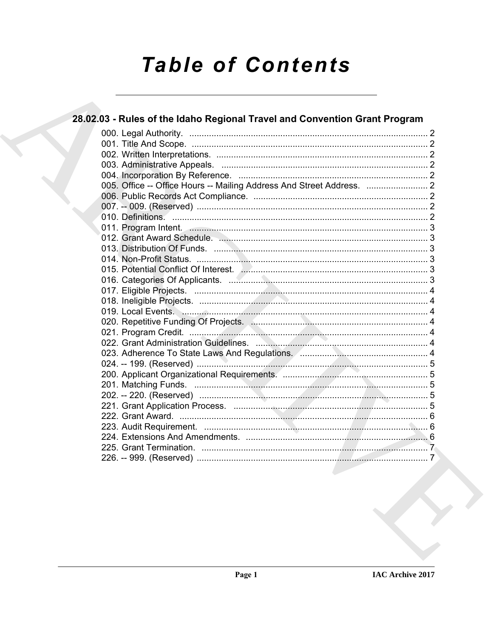# **Table of Contents**

# 28.02.03 - Rules of the Idaho Regional Travel and Convention Grant Program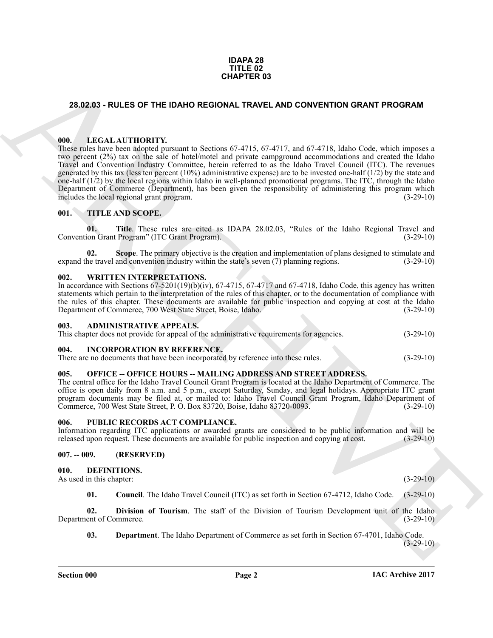#### **IDAPA 28 TITLE 02 CHAPTER 03**

## <span id="page-1-0"></span>**28.02.03 - RULES OF THE IDAHO REGIONAL TRAVEL AND CONVENTION GRANT PROGRAM**

#### <span id="page-1-1"></span>**000. LEGAL AUTHORITY.**

**23.02.03 - RULES OF THE DANO REGIONAL TRAVEL AND CONVENTION GRANT PROGRAM**<br> **CHEAD EVALUATIONITY EVALUATION CONVENTION GRANT PROGRAM**<br>
THE LEAD **ARTIFICIAL CONVENTION CONVENTION CONVENTION CONVENTION CONVEN** These rules have been adopted pursuant to Sections 67-4715, 67-4717, and 67-4718, Idaho Code, which imposes a two percent (2%) tax on the sale of hotel/motel and private campground accommodations and created the Idaho Travel and Convention Industry Committee, herein referred to as the Idaho Travel Council (ITC). The revenues generated by this tax (less ten percent (10%) administrative expense) are to be invested one-half  $(1/2)$  by the state and one-half (1/2) by the local regions within Idaho in well-planned promotional programs. The ITC, through the Idaho Department of Commerce (Department), has been given the responsibility of administering this program which includes the local regional grant program. (3-29-10)

#### <span id="page-1-2"></span>**001. TITLE AND SCOPE.**

**01. Title**. These rules are cited as IDAPA 28.02.03, "Rules of the Idaho Regional Travel and Convention Grant Program" (ITC Grant Program). (3-29-10)

**02. Scope**. The primary objective is the creation and implementation of plans designed to stimulate and expand the travel and convention industry within the state's seven (7) planning regions. (3-29-10)

#### <span id="page-1-3"></span>**002. WRITTEN INTERPRETATIONS.**

In accordance with Sections  $67-5201(19)(b)(iv)$ ,  $67-4715$ ,  $67-4717$  and  $67-4718$ , Idaho Code, this agency has written statements which pertain to the interpretation of the rules of this chapter, or to the documentation of compliance with the rules of this chapter. These documents are available for public inspection and copying at cost at the Idaho<br>Department of Commerce, 700 West State Street, Boise, Idaho. (3-29-10) Department of Commerce, 700 West State Street, Boise, Idaho.

#### <span id="page-1-4"></span>**003. ADMINISTRATIVE APPEALS.**

This chapter does not provide for appeal of the administrative requirements for agencies. (3-29-10)

#### <span id="page-1-5"></span>**004. INCORPORATION BY REFERENCE.**

There are no documents that have been incorporated by reference into these rules. (3-29-10)

#### <span id="page-1-6"></span>**OFFICE -- OFFICE HOURS -- MAILING ADDRESS AND STREET ADDRESS.**

The central office for the Idaho Travel Council Grant Program is located at the Idaho Department of Commerce. The office is open daily from 8 a.m. and 5 p.m., except Saturday, Sunday, and legal holidays. Appropriate ITC grant program documents may be filed at, or mailed to: Idaho Travel Council Grant Program, Idaho Department of Commerce, 700 West State Street, P. O. Box 83720, Boise, Idaho 83720-0093. (3-29-10) Commerce, 700 West State Street, P. O. Box 83720, Boise, Idaho 83720-0093.

#### <span id="page-1-7"></span>**006. PUBLIC RECORDS ACT COMPLIANCE.**

Information regarding ITC applications or awarded grants are considered to be public information and will be released upon request. These documents are available for public inspection and copying at cost. (3-29-10) released upon request. These documents are available for public inspection and copying at cost.

#### <span id="page-1-8"></span>**007. -- 009. (RESERVED)**

#### <span id="page-1-10"></span><span id="page-1-9"></span>**010. DEFINITIONS.**

As used in this chapter: (3-29-10)

<span id="page-1-13"></span><span id="page-1-11"></span>**01. Council**. The Idaho Travel Council (ITC) as set forth in Section 67-4712, Idaho Code. (3-29-10)

**02.** Division of Tourism. The staff of the Division of Tourism Development unit of the Idaho ent of Commerce. (3-29-10) Department of Commerce.

<span id="page-1-12"></span>**03. Department**. The Idaho Department of Commerce as set forth in Section 67-4701, Idaho Code.

 $(3-29-10)$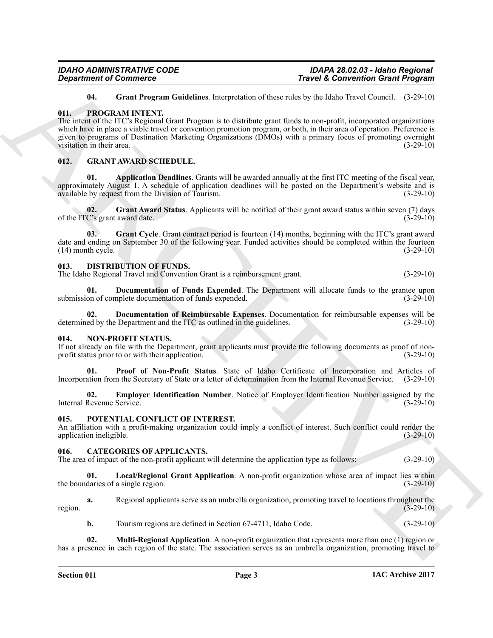<span id="page-2-21"></span><span id="page-2-9"></span>**04. Grant Program Guidelines**. Interpretation of these rules by the Idaho Travel Council. (3-29-10)

## <span id="page-2-0"></span>**011. PROGRAM INTENT.**

*Travela & Convention Completes*<br> **ARCHIVES CONVERGENTS (ACTIVES)**<br> **ARCHIVES CONVERGENTS (ACTIVES)**<br> **ARCHIVES CONVERGENTS (ACTIVES)**<br> **ARCHIVES CONVERGENTS (ACTIVES)**<br> **ARCHIVES CONVERGENTS (ACTIVES)**<br> **ARCHIVES CONVE** The intent of the ITC's Regional Grant Program is to distribute grant funds to non-profit, incorporated organizations which have in place a viable travel or convention promotion program, or both, in their area of operation. Preference is given to programs of Destination Marketing Organizations (DMOs) with a primary focus of promoting overnight visitation in their area. (3-29-10) visitation in their area.

## <span id="page-2-13"></span><span id="page-2-1"></span>**012. GRANT AWARD SCHEDULE.**

<span id="page-2-14"></span>**01. Application Deadlines**. Grants will be awarded annually at the first ITC meeting of the fiscal year, approximately August 1. A schedule of application deadlines will be posted on the Department's website and is available by request from the Division of Tourism.

<span id="page-2-15"></span>**02.** Grant Award Status. Applicants will be notified of their grant award status within seven (7) days C's grant award date. (3-29-10) of the ITC's grant award date.

<span id="page-2-16"></span>**03.** Grant Cycle. Grant contract period is fourteen (14) months, beginning with the ITC's grant award date and ending on September 30 of the following year. Funded activities should be completed within the fourteen (14) month cycle. (3-29-10)  $(14)$  month cycle.

## <span id="page-2-10"></span><span id="page-2-2"></span>**013. DISTRIBUTION OF FUNDS.**

The Idaho Regional Travel and Convention Grant is a reimbursement grant. (3-29-10)

<span id="page-2-11"></span>**01. Documentation of Funds Expended**. The Department will allocate funds to the grantee upon on of complete documentation of funds expended. (3-29-10) submission of complete documentation of funds expended.

<span id="page-2-12"></span>**Documentation of Reimbursable Expenses**. Documentation for reimbursable expenses will be Department and the ITC as outlined in the guidelines. (3-29-10) determined by the Department and the ITC as outlined in the guidelines.

#### <span id="page-2-17"></span><span id="page-2-3"></span>**014. NON-PROFIT STATUS.**

If not already on file with the Department, grant applicants must provide the following documents as proof of non-<br>profit status prior to or with their application. (3-29-10) profit status prior to or with their application.

<span id="page-2-19"></span>**01. Proof of Non-Profit Status**. State of Idaho Certificate of Incorporation and Articles of Incorporation from the Secretary of State or a letter of determination from the Internal Revenue Service. (3-29-10)

<span id="page-2-18"></span>**02. Employer Identification Number**. Notice of Employer Identification Number assigned by the Revenue Service. (3-29-10) Internal Revenue Service.

## <span id="page-2-20"></span><span id="page-2-4"></span>**015. POTENTIAL CONFLICT OF INTEREST.**

An affiliation with a profit-making organization could imply a conflict of interest. Such conflict could render the application ineligible. (3-29-10)

## <span id="page-2-6"></span><span id="page-2-5"></span>**016. CATEGORIES OF APPLICANTS.**

The area of impact of the non-profit applicant will determine the application type as follows: (3-29-10)

<span id="page-2-7"></span>**01.** Local/Regional Grant Application. A non-profit organization whose area of impact lies within daries of a single region. (3-29-10) the boundaries of a single region.

**a.** Regional applicants serve as an umbrella organization, promoting travel to locations throughout the region.  $(3-29-10)$ 

<span id="page-2-8"></span>**b.** Tourism regions are defined in Section 67-4711, Idaho Code. (3-29-10)

**02. Multi-Regional Application**. A non-profit organization that represents more than one (1) region or has a presence in each region of the state. The association serves as an umbrella organization, promoting travel to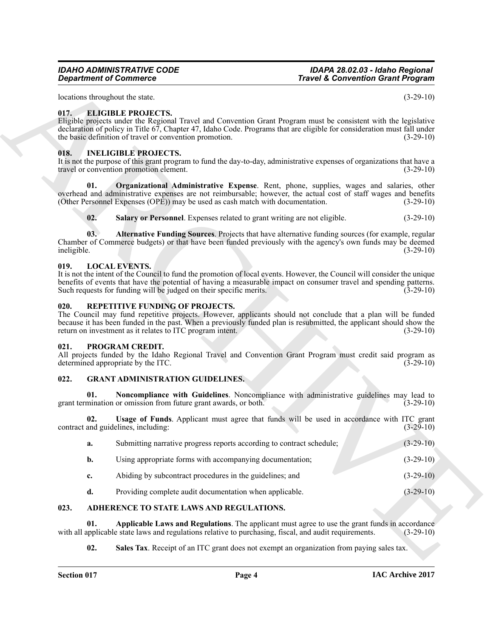*IDAHO ADMINISTRATIVE CODE IDAPA 28.02.03 - Idaho Regional Travel & Convention Grant Program* 

#### <span id="page-3-10"></span><span id="page-3-0"></span>**017. ELIGIBLE PROJECTS.**

#### <span id="page-3-16"></span><span id="page-3-14"></span><span id="page-3-1"></span>**018. INELIGIBLE PROJECTS.**

#### <span id="page-3-18"></span><span id="page-3-17"></span><span id="page-3-15"></span><span id="page-3-2"></span>**019. LOCAL EVENTS.**

#### <span id="page-3-20"></span><span id="page-3-3"></span>**020. REPETITIVE FUNDING OF PROJECTS.**

#### <span id="page-3-19"></span><span id="page-3-4"></span>**021. PROGRAM CREDIT.**

#### <span id="page-3-13"></span><span id="page-3-12"></span><span id="page-3-11"></span><span id="page-3-5"></span>**022. GRANT ADMINISTRATION GUIDELINES.**

|                    | <b>Department of Commerce</b>                                                                          | <b>Travel &amp; Convention Grant Program</b>                                                                                                                                                                                                                  |  |
|--------------------|--------------------------------------------------------------------------------------------------------|---------------------------------------------------------------------------------------------------------------------------------------------------------------------------------------------------------------------------------------------------------------|--|
|                    | locations throughout the state.                                                                        | $(3-29-10)$                                                                                                                                                                                                                                                   |  |
| 017.               | <b>ELIGIBLE PROJECTS.</b><br>the basic definition of travel or convention promotion.                   | Eligible projects under the Regional Travel and Convention Grant Program must be consistent with the legislative<br>declaration of policy in Title 67, Chapter 47, Idaho Code. Programs that are eligible for consideration must fall under<br>$(3-29-10)$    |  |
| 018.               | <b>INELIGIBLE PROJECTS.</b><br>travel or convention promotion element.                                 | It is not the purpose of this grant program to fund the day-to-day, administrative expenses of organizations that have a<br>$(3-29-10)$                                                                                                                       |  |
| 01.                | (Other Personnel Expenses (OPE)) may be used as cash match with documentation.                         | <b>Organizational Administrative Expense.</b> Rent, phone, supplies, wages and salaries, other<br>overhead and administrative expenses are not reimbursable; however, the actual cost of staff wages and benefits<br>$(3-29-10)$                              |  |
| 02.                | Salary or Personnel. Expenses related to grant writing are not eligible.                               | $(3-29-10)$                                                                                                                                                                                                                                                   |  |
| 03.<br>ineligible. |                                                                                                        | Alternative Funding Sources. Projects that have alternative funding sources (for example, regular<br>Chamber of Commerce budgets) or that have been funded previously with the agency's own funds may be deemed<br>$(3-29-10)$                                |  |
| 019.               | <b>LOCAL EVENTS.</b><br>Such requests for funding will be judged on their specific merits.             | It is not the intent of the Council to fund the promotion of local events. However, the Council will consider the unique<br>benefits of events that have the potential of having a measurable impact on consumer travel and spending patterns.<br>$(3-29-10)$ |  |
| 020.               | REPETITIVE FUNDING OF PROJECTS.<br>return on investment as it relates to ITC program intent.           | The Council may fund repetitive projects. However, applicants should not conclude that a plan will be funded<br>because it has been funded in the past. When a previously funded plan is resubmitted, the applicant should show the<br>$(3-29-10)$            |  |
| 021.               | PROGRAM CREDIT.<br>determined appropriate by the ITC.                                                  | All projects funded by the Idaho Regional Travel and Convention Grant Program must credit said program as<br>$(3-29-10)$                                                                                                                                      |  |
| 022.               | <b>GRANT ADMINISTRATION GUIDELINES.</b>                                                                |                                                                                                                                                                                                                                                               |  |
| 01.                | grant termination or omission from future grant awards, or both.                                       | Noncompliance with Guidelines. Noncompliance with administrative guidelines may lead to<br>$(3-29-10)$                                                                                                                                                        |  |
| 02.                | contract and guidelines, including:                                                                    | <b>Usage of Funds.</b> Applicant must agree that funds will be used in accordance with ITC grant<br>$(3-29-10)$                                                                                                                                               |  |
| a.                 | Submitting narrative progress reports according to contract schedule;                                  | $(3-29-10)$                                                                                                                                                                                                                                                   |  |
| b.                 | Using appropriate forms with accompanying documentation;                                               | $(3-29-10)$                                                                                                                                                                                                                                                   |  |
| c.                 | Abiding by subcontract procedures in the guidelines; and                                               | $(3-29-10)$                                                                                                                                                                                                                                                   |  |
| d.                 | Providing complete audit documentation when applicable.                                                | $(3-29-10)$                                                                                                                                                                                                                                                   |  |
| 023.               | ADHERENCE TO STATE LAWS AND REGULATIONS.                                                               |                                                                                                                                                                                                                                                               |  |
| 01.                | with all applicable state laws and regulations relative to purchasing, fiscal, and audit requirements. | Applicable Laws and Regulations. The applicant must agree to use the grant funds in accordance<br>$(3-29-10)$                                                                                                                                                 |  |
| 02.                |                                                                                                        | Sales Tax. Receipt of an ITC grant does not exempt an organization from paying sales tax.                                                                                                                                                                     |  |

#### <span id="page-3-9"></span><span id="page-3-8"></span><span id="page-3-7"></span><span id="page-3-6"></span>**023. ADHERENCE TO STATE LAWS AND REGULATIONS.**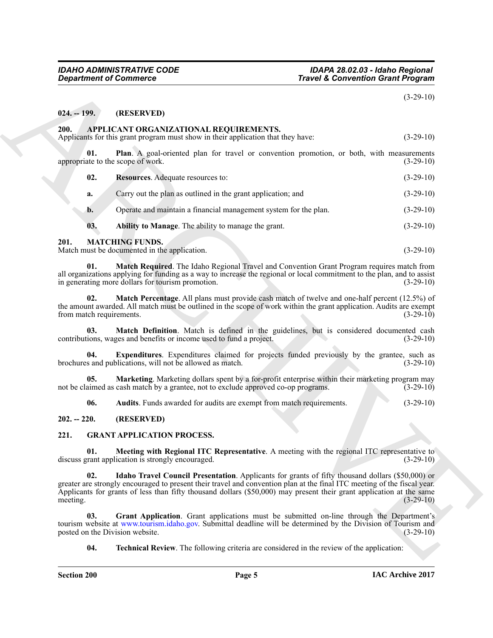# <span id="page-4-0"></span>**024. -- 199. (RESERVED)**

#### <span id="page-4-8"></span><span id="page-4-7"></span><span id="page-4-5"></span><span id="page-4-1"></span>**200. APPLICANT ORGANIZATIONAL REQUIREMENTS.**

| <b>Department of Commerce</b>   |                                                                                                                                                                                                                                                                                                                                                      | <b>Travel &amp; Convention Grant Program</b>                                                             |  |
|---------------------------------|------------------------------------------------------------------------------------------------------------------------------------------------------------------------------------------------------------------------------------------------------------------------------------------------------------------------------------------------------|----------------------------------------------------------------------------------------------------------|--|
|                                 |                                                                                                                                                                                                                                                                                                                                                      | $(3-29-10)$                                                                                              |  |
| $024. - 199.$                   | (RESERVED)                                                                                                                                                                                                                                                                                                                                           |                                                                                                          |  |
| 200.                            | APPLICANT ORGANIZATIONAL REQUIREMENTS.<br>Applicants for this grant program must show in their application that they have:                                                                                                                                                                                                                           | $(3-29-10)$                                                                                              |  |
| 01.                             | Plan. A goal-oriented plan for travel or convention promotion, or both, with measurements<br>appropriate to the scope of work.                                                                                                                                                                                                                       | $(3-29-10)$                                                                                              |  |
| 02.                             | Resources. Adequate resources to:                                                                                                                                                                                                                                                                                                                    | $(3-29-10)$                                                                                              |  |
| a.                              | Carry out the plan as outlined in the grant application; and                                                                                                                                                                                                                                                                                         | $(3-29-10)$                                                                                              |  |
| b.                              | Operate and maintain a financial management system for the plan.                                                                                                                                                                                                                                                                                     | $(3-29-10)$                                                                                              |  |
| 03.                             | Ability to Manage. The ability to manage the grant.                                                                                                                                                                                                                                                                                                  | $(3-29-10)$                                                                                              |  |
| 201.                            | <b>MATCHING FUNDS.</b><br>Match must be documented in the application.                                                                                                                                                                                                                                                                               | $(3-29-10)$                                                                                              |  |
| 01.                             | Match Required. The Idaho Regional Travel and Convention Grant Program requires match from<br>all organizations applying for funding as a way to increase the regional or local commitment to the plan, and to assist<br>in generating more dollars for tourism promotion.                                                                           | $(3-29-10)$                                                                                              |  |
| 02.<br>from match requirements. | <b>Match Percentage.</b> All plans must provide cash match of twelve and one-half percent (12.5%) of<br>the amount awarded. All match must be outlined in the scope of work within the grant application. Audits are exempt                                                                                                                          | $(3-29-10)$                                                                                              |  |
| 03.                             | Match Definition. Match is defined in the guidelines, but is considered documented cash<br>contributions, wages and benefits or income used to fund a project.                                                                                                                                                                                       | $(3-29-10)$                                                                                              |  |
| 04.                             | brochures and publications, will not be allowed as match.                                                                                                                                                                                                                                                                                            | Expenditures. Expenditures claimed for projects funded previously by the grantee, such as<br>$(3-29-10)$ |  |
| 05.                             | Marketing. Marketing dollars spent by a for-profit enterprise within their marketing program may<br>not be claimed as cash match by a grantee, not to exclude approved co-op programs.                                                                                                                                                               | $(3-29-10)$                                                                                              |  |
| 06.                             | Audits. Funds awarded for audits are exempt from match requirements.                                                                                                                                                                                                                                                                                 | $(3-29-10)$                                                                                              |  |
| $202. - 220.$                   | (RESERVED)                                                                                                                                                                                                                                                                                                                                           |                                                                                                          |  |
| 221.                            | <b>GRANT APPLICATION PROCESS.</b>                                                                                                                                                                                                                                                                                                                    |                                                                                                          |  |
| 01.                             | Meeting with Regional ITC Representative. A meeting with the regional ITC representative to<br>discuss grant application is strongly encouraged.                                                                                                                                                                                                     | $(3-29-10)$                                                                                              |  |
| 02.<br>meeting.                 | Idaho Travel Council Presentation. Applicants for grants of fifty thousand dollars (\$50,000) or<br>greater are strongly encouraged to present their travel and convention plan at the final ITC meeting of the fiscal year.<br>Applicants for grants of less than fifty thousand dollars (\$50,000) may present their grant application at the same | $(3-29-10)$                                                                                              |  |
| 03.                             | Grant Application. Grant applications must be submitted on-line through the Department's<br>tourism website at www.tourism.idaho.gov. Submittal deadline will be determined by the Division of Tourism and<br>posted on the Division website.                                                                                                        | $(3-29-10)$                                                                                              |  |
| 04.                             | <b>Technical Review.</b> The following criteria are considered in the review of the application:                                                                                                                                                                                                                                                     |                                                                                                          |  |

#### <span id="page-4-20"></span><span id="page-4-19"></span><span id="page-4-18"></span><span id="page-4-14"></span><span id="page-4-6"></span><span id="page-4-2"></span>**201. MATCHING FUNDS.**

## <span id="page-4-17"></span><span id="page-4-16"></span><span id="page-4-15"></span><span id="page-4-3"></span>**202. -- 220. (RESERVED)**

## <span id="page-4-13"></span><span id="page-4-12"></span><span id="page-4-11"></span><span id="page-4-10"></span><span id="page-4-9"></span><span id="page-4-4"></span>**221. GRANT APPLICATION PROCESS.**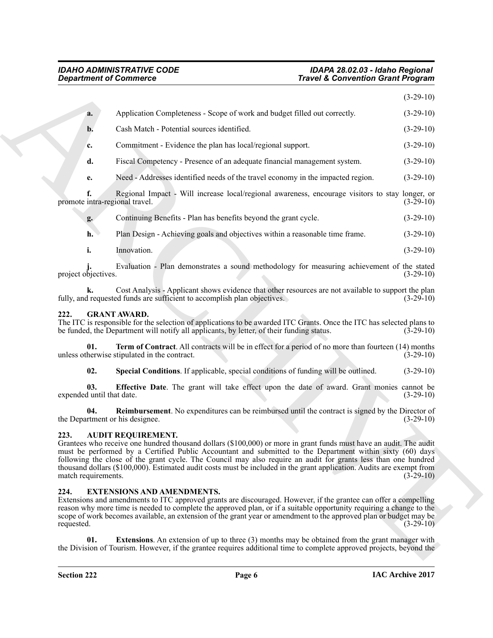| <b>Department of Commerce</b>          |                                                                                                                                                                                                                                                                                                                                                                                                                                                                                                         | <b>Travel &amp; Convention Grant Program</b> |             |
|----------------------------------------|---------------------------------------------------------------------------------------------------------------------------------------------------------------------------------------------------------------------------------------------------------------------------------------------------------------------------------------------------------------------------------------------------------------------------------------------------------------------------------------------------------|----------------------------------------------|-------------|
|                                        |                                                                                                                                                                                                                                                                                                                                                                                                                                                                                                         |                                              | $(3-29-10)$ |
| a.                                     | Application Completeness - Scope of work and budget filled out correctly.                                                                                                                                                                                                                                                                                                                                                                                                                               |                                              | $(3-29-10)$ |
| $\mathbf{b}$ .                         | Cash Match - Potential sources identified.                                                                                                                                                                                                                                                                                                                                                                                                                                                              |                                              | $(3-29-10)$ |
| c.                                     | Commitment - Evidence the plan has local/regional support.                                                                                                                                                                                                                                                                                                                                                                                                                                              |                                              | $(3-29-10)$ |
| d.                                     | Fiscal Competency - Presence of an adequate financial management system.                                                                                                                                                                                                                                                                                                                                                                                                                                |                                              | $(3-29-10)$ |
| e.                                     | Need - Addresses identified needs of the travel economy in the impacted region.                                                                                                                                                                                                                                                                                                                                                                                                                         |                                              | $(3-29-10)$ |
| f.<br>promote intra-regional travel.   | Regional Impact - Will increase local/regional awareness, encourage visitors to stay longer, or                                                                                                                                                                                                                                                                                                                                                                                                         |                                              | $(3-29-10)$ |
| g.                                     | Continuing Benefits - Plan has benefits beyond the grant cycle.                                                                                                                                                                                                                                                                                                                                                                                                                                         |                                              | $(3-29-10)$ |
| h.                                     | Plan Design - Achieving goals and objectives within a reasonable time frame.                                                                                                                                                                                                                                                                                                                                                                                                                            |                                              | $(3-29-10)$ |
| i.                                     | Innovation.                                                                                                                                                                                                                                                                                                                                                                                                                                                                                             |                                              | $(3-29-10)$ |
| project objectives.                    | Evaluation - Plan demonstrates a sound methodology for measuring achievement of the stated                                                                                                                                                                                                                                                                                                                                                                                                              |                                              | $(3-29-10)$ |
|                                        | Cost Analysis - Applicant shows evidence that other resources are not available to support the plan<br>fully, and requested funds are sufficient to accomplish plan objectives.                                                                                                                                                                                                                                                                                                                         |                                              | $(3-29-10)$ |
| 222.                                   | <b>GRANT AWARD.</b><br>The ITC is responsible for the selection of applications to be awarded ITC Grants. Once the ITC has selected plans to<br>be funded, the Department will notify all applicants, by letter, of their funding status.                                                                                                                                                                                                                                                               |                                              | $(3-29-10)$ |
| 01.                                    | <b>Term of Contract.</b> All contracts will be in effect for a period of no more than fourteen (14) months<br>unless otherwise stipulated in the contract.                                                                                                                                                                                                                                                                                                                                              |                                              | $(3-29-10)$ |
| 02.                                    | Special Conditions. If applicable, special conditions of funding will be outlined.                                                                                                                                                                                                                                                                                                                                                                                                                      |                                              | $(3-29-10)$ |
| 03.<br>expended until that date.       | <b>Effective Date</b> . The grant will take effect upon the date of award. Grant monies cannot be                                                                                                                                                                                                                                                                                                                                                                                                       |                                              | $(3-29-10)$ |
| 04.<br>the Department or his designee. | <b>Reimbursement</b> . No expenditures can be reimbursed until the contract is signed by the Director of                                                                                                                                                                                                                                                                                                                                                                                                |                                              | $(3-29-10)$ |
| 223.<br>match requirements.            | <b>AUDIT REQUIREMENT.</b><br>Grantees who receive one hundred thousand dollars (\$100,000) or more in grant funds must have an audit. The audit<br>must be performed by a Certified Public Accountant and submitted to the Department within sixty (60) days<br>following the close of the grant cycle. The Council may also require an audit for grants less than one hundred<br>thousand dollars (\$100,000). Estimated audit costs must be included in the grant application. Audits are exempt from |                                              | $(3-29-10)$ |
| 224.<br>requested.                     | <b>EXTENSIONS AND AMENDMENTS.</b><br>Extensions and amendments to ITC approved grants are discouraged. However, if the grantee can offer a compelling<br>reason why more time is needed to complete the approved plan, or if a suitable opportunity requiring a change to the<br>scope of work becomes available, an extension of the grant year or amendment to the approved plan or budget may be                                                                                                     |                                              | $(3-29-10)$ |
|                                        | <b>Extensions.</b> An extension of up to three (3) months may be obtained from the grant manager with                                                                                                                                                                                                                                                                                                                                                                                                   |                                              |             |

| Continuing Benefits - Plan has benefits beyond the grant cycle. | $(3-29-10)$ |
|-----------------------------------------------------------------|-------------|
|                                                                 |             |

# <span id="page-5-10"></span><span id="page-5-9"></span><span id="page-5-6"></span><span id="page-5-0"></span>**222. GRANT AWARD.**

# <span id="page-5-8"></span><span id="page-5-7"></span><span id="page-5-3"></span><span id="page-5-1"></span>**223. AUDIT REQUIREMENT.**

# <span id="page-5-5"></span><span id="page-5-4"></span><span id="page-5-2"></span>**224. EXTENSIONS AND AMENDMENTS.**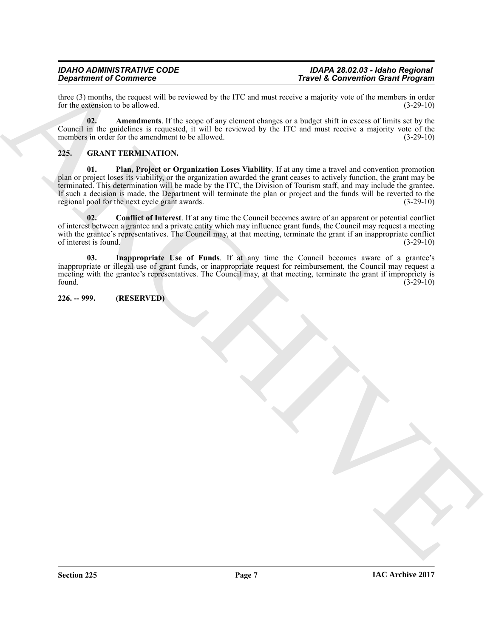three (3) months, the request will be reviewed by the ITC and must receive a majority vote of the members in order<br>for the extension to be allowed. (3-29-10) for the extension to be allowed.

<span id="page-6-2"></span>**02. Amendments**. If the scope of any element changes or a budget shift in excess of limits set by the Council in the guidelines is requested, it will be reviewed by the ITC and must receive a majority vote of the members in order for the amendment to be allowed. (3-29-10)

## <span id="page-6-6"></span><span id="page-6-3"></span><span id="page-6-0"></span>**225. GRANT TERMINATION.**

**Travel & Convention of Countries Convention Convention Convention Countries (Section Countries Convention Countries Countries Countries Countries Countries Countries Countries Countries Countries Countries Countries Coun 01. Plan, Project or Organization Loses Viability**. If at any time a travel and convention promotion plan or project loses its viability, or the organization awarded the grant ceases to actively function, the grant may be terminated. This determination will be made by the ITC, the Division of Tourism staff, and may include the grantee. If such a decision is made, the Department will terminate the plan or project and the funds will be reverted to the regional pool for the next cycle grant awards. (3-29-10) regional pool for the next cycle grant awards.

<span id="page-6-4"></span>**02. Conflict of Interest**. If at any time the Council becomes aware of an apparent or potential conflict of interest between a grantee and a private entity which may influence grant funds, the Council may request a meeting with the grantee's representatives. The Council may, at that meeting, terminate the grant if an inappropriate conflict of interest is found. (3-29-10)

<span id="page-6-5"></span>**03. Inappropriate Use of Funds**. If at any time the Council becomes aware of a grantee's inappropriate or illegal use of grant funds, or inappropriate request for reimbursement, the Council may request a meeting with the grantee's representatives. The Council may, at that meeting, terminate the grant if impropriety is found. (3-29-10) found. (3-29-10)

<span id="page-6-1"></span>**226. -- 999. (RESERVED)**